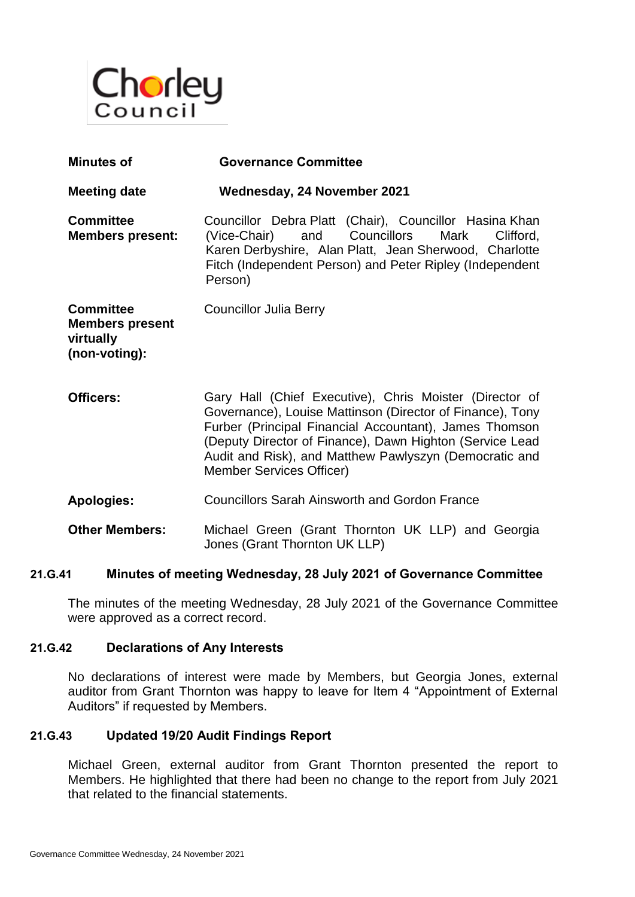

| <b>Minutes of</b>                                                        | <b>Governance Committee</b>                                                                                                                                                                                                                                                                                                      |
|--------------------------------------------------------------------------|----------------------------------------------------------------------------------------------------------------------------------------------------------------------------------------------------------------------------------------------------------------------------------------------------------------------------------|
| <b>Meeting date</b>                                                      | Wednesday, 24 November 2021                                                                                                                                                                                                                                                                                                      |
| <b>Committee</b><br><b>Members present:</b>                              | Councillor Debra Platt (Chair), Councillor Hasina Khan<br>and Councillors<br>(Vice-Chair)<br>Mark<br>Clifford,<br>Karen Derbyshire, Alan Platt, Jean Sherwood, Charlotte<br>Fitch (Independent Person) and Peter Ripley (Independent<br>Person)                                                                                  |
| <b>Committee</b><br><b>Members present</b><br>virtually<br>(non-voting): | <b>Councillor Julia Berry</b>                                                                                                                                                                                                                                                                                                    |
| Officers:                                                                | Gary Hall (Chief Executive), Chris Moister (Director of<br>Governance), Louise Mattinson (Director of Finance), Tony<br>Furber (Principal Financial Accountant), James Thomson<br>(Deputy Director of Finance), Dawn Highton (Service Lead<br>Audit and Risk), and Matthew Pawlyszyn (Democratic and<br>Member Services Officer) |
| <b>Apologies:</b>                                                        | <b>Councillors Sarah Ainsworth and Gordon France</b>                                                                                                                                                                                                                                                                             |
| <b>Other Members:</b>                                                    | Michael Green (Grant Thornton UK LLP) and Georgia<br>Jones (Grant Thornton UK LLP)                                                                                                                                                                                                                                               |

### **21.G.41 Minutes of meeting Wednesday, 28 July 2021 of Governance Committee**

The minutes of the meeting Wednesday, 28 July 2021 of the Governance Committee were approved as a correct record.

### **21.G.42 Declarations of Any Interests**

No declarations of interest were made by Members, but Georgia Jones, external auditor from Grant Thornton was happy to leave for Item 4 "Appointment of External Auditors" if requested by Members.

### **21.G.43 Updated 19/20 Audit Findings Report**

Michael Green, external auditor from Grant Thornton presented the report to Members. He highlighted that there had been no change to the report from July 2021 that related to the financial statements.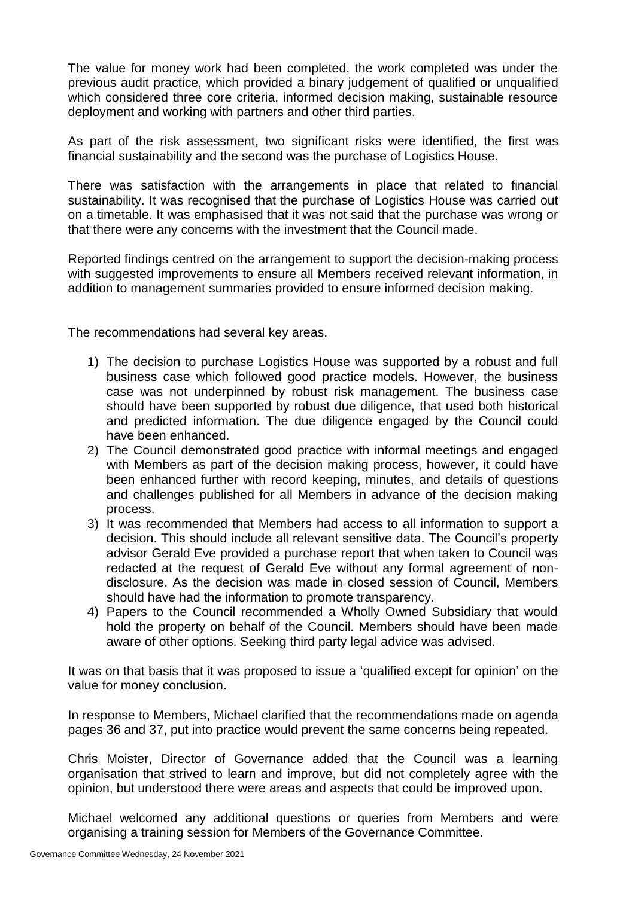The value for money work had been completed, the work completed was under the previous audit practice, which provided a binary judgement of qualified or unqualified which considered three core criteria, informed decision making, sustainable resource deployment and working with partners and other third parties.

As part of the risk assessment, two significant risks were identified, the first was financial sustainability and the second was the purchase of Logistics House.

There was satisfaction with the arrangements in place that related to financial sustainability. It was recognised that the purchase of Logistics House was carried out on a timetable. It was emphasised that it was not said that the purchase was wrong or that there were any concerns with the investment that the Council made.

Reported findings centred on the arrangement to support the decision-making process with suggested improvements to ensure all Members received relevant information, in addition to management summaries provided to ensure informed decision making.

The recommendations had several key areas.

- 1) The decision to purchase Logistics House was supported by a robust and full business case which followed good practice models. However, the business case was not underpinned by robust risk management. The business case should have been supported by robust due diligence, that used both historical and predicted information. The due diligence engaged by the Council could have been enhanced.
- 2) The Council demonstrated good practice with informal meetings and engaged with Members as part of the decision making process, however, it could have been enhanced further with record keeping, minutes, and details of questions and challenges published for all Members in advance of the decision making process.
- 3) It was recommended that Members had access to all information to support a decision. This should include all relevant sensitive data. The Council's property advisor Gerald Eve provided a purchase report that when taken to Council was redacted at the request of Gerald Eve without any formal agreement of nondisclosure. As the decision was made in closed session of Council, Members should have had the information to promote transparency.
- 4) Papers to the Council recommended a Wholly Owned Subsidiary that would hold the property on behalf of the Council. Members should have been made aware of other options. Seeking third party legal advice was advised.

It was on that basis that it was proposed to issue a 'qualified except for opinion' on the value for money conclusion.

In response to Members, Michael clarified that the recommendations made on agenda pages 36 and 37, put into practice would prevent the same concerns being repeated.

Chris Moister, Director of Governance added that the Council was a learning organisation that strived to learn and improve, but did not completely agree with the opinion, but understood there were areas and aspects that could be improved upon.

Michael welcomed any additional questions or queries from Members and were organising a training session for Members of the Governance Committee.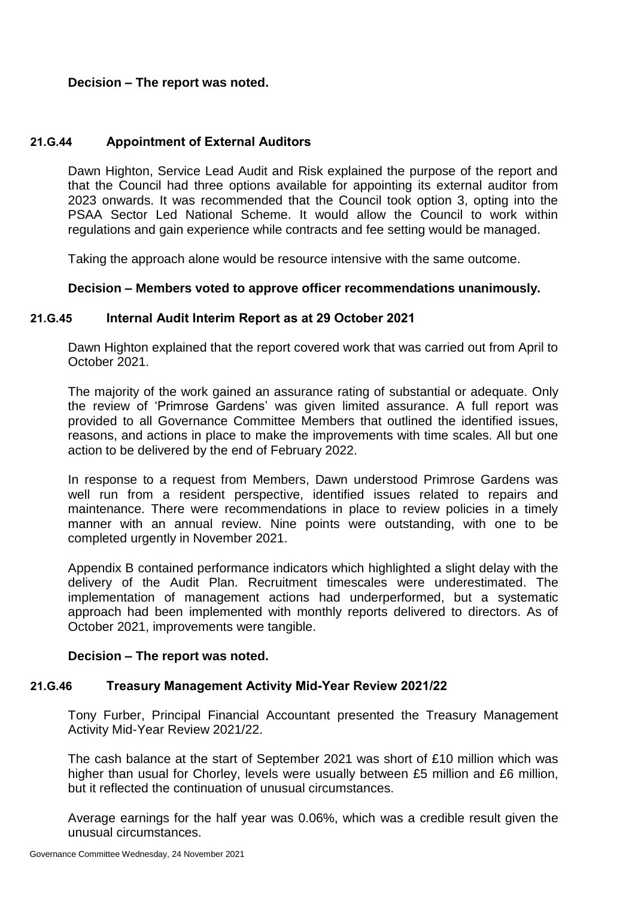# **Decision – The report was noted.**

### **21.G.44 Appointment of External Auditors**

Dawn Highton, Service Lead Audit and Risk explained the purpose of the report and that the Council had three options available for appointing its external auditor from 2023 onwards. It was recommended that the Council took option 3, opting into the PSAA Sector Led National Scheme. It would allow the Council to work within regulations and gain experience while contracts and fee setting would be managed.

Taking the approach alone would be resource intensive with the same outcome.

### **Decision – Members voted to approve officer recommendations unanimously.**

### **21.G.45 Internal Audit Interim Report as at 29 October 2021**

Dawn Highton explained that the report covered work that was carried out from April to October 2021.

The majority of the work gained an assurance rating of substantial or adequate. Only the review of 'Primrose Gardens' was given limited assurance. A full report was provided to all Governance Committee Members that outlined the identified issues, reasons, and actions in place to make the improvements with time scales. All but one action to be delivered by the end of February 2022.

In response to a request from Members, Dawn understood Primrose Gardens was well run from a resident perspective, identified issues related to repairs and maintenance. There were recommendations in place to review policies in a timely manner with an annual review. Nine points were outstanding, with one to be completed urgently in November 2021.

Appendix B contained performance indicators which highlighted a slight delay with the delivery of the Audit Plan. Recruitment timescales were underestimated. The implementation of management actions had underperformed, but a systematic approach had been implemented with monthly reports delivered to directors. As of October 2021, improvements were tangible.

# **Decision – The report was noted.**

# **21.G.46 Treasury Management Activity Mid-Year Review 2021/22**

Tony Furber, Principal Financial Accountant presented the Treasury Management Activity Mid-Year Review 2021/22.

The cash balance at the start of September 2021 was short of £10 million which was higher than usual for Chorley, levels were usually between £5 million and £6 million, but it reflected the continuation of unusual circumstances.

Average earnings for the half year was 0.06%, which was a credible result given the unusual circumstances.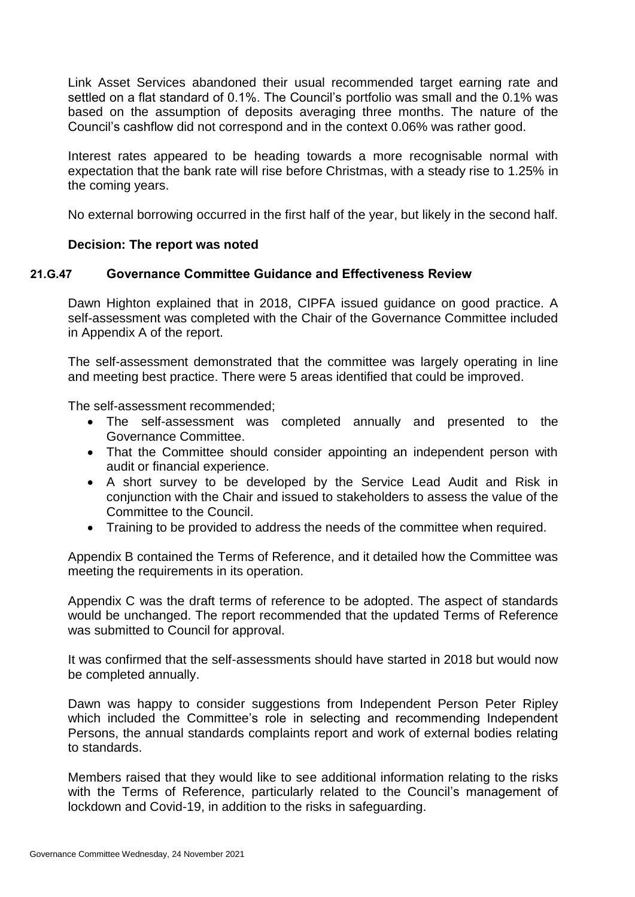Link Asset Services abandoned their usual recommended target earning rate and settled on a flat standard of 0.1%. The Council's portfolio was small and the 0.1% was based on the assumption of deposits averaging three months. The nature of the Council's cashflow did not correspond and in the context 0.06% was rather good.

Interest rates appeared to be heading towards a more recognisable normal with expectation that the bank rate will rise before Christmas, with a steady rise to 1.25% in the coming years.

No external borrowing occurred in the first half of the year, but likely in the second half.

# **Decision: The report was noted**

# **21.G.47 Governance Committee Guidance and Effectiveness Review**

Dawn Highton explained that in 2018, CIPFA issued guidance on good practice. A self-assessment was completed with the Chair of the Governance Committee included in Appendix A of the report.

The self-assessment demonstrated that the committee was largely operating in line and meeting best practice. There were 5 areas identified that could be improved.

The self-assessment recommended;

- The self-assessment was completed annually and presented to the Governance Committee.
- That the Committee should consider appointing an independent person with audit or financial experience.
- A short survey to be developed by the Service Lead Audit and Risk in conjunction with the Chair and issued to stakeholders to assess the value of the Committee to the Council.
- Training to be provided to address the needs of the committee when required.

Appendix B contained the Terms of Reference, and it detailed how the Committee was meeting the requirements in its operation.

Appendix C was the draft terms of reference to be adopted. The aspect of standards would be unchanged. The report recommended that the updated Terms of Reference was submitted to Council for approval.

It was confirmed that the self-assessments should have started in 2018 but would now be completed annually.

Dawn was happy to consider suggestions from Independent Person Peter Ripley which included the Committee's role in selecting and recommending Independent Persons, the annual standards complaints report and work of external bodies relating to standards.

Members raised that they would like to see additional information relating to the risks with the Terms of Reference, particularly related to the Council's management of lockdown and Covid-19, in addition to the risks in safeguarding.